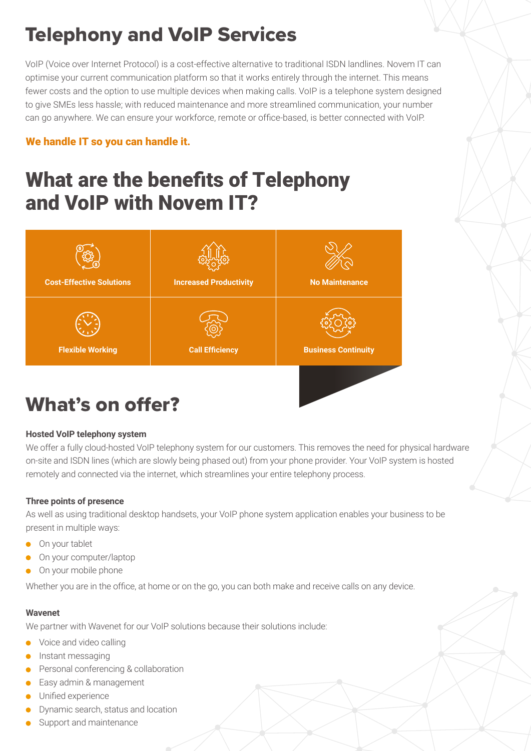# Telephony and VoIP Services

VoIP (Voice over Internet Protocol) is a cost-effective alternative to traditional ISDN landlines. Novem IT can optimise your current communication platform so that it works entirely through the internet. This means fewer costs and the option to use multiple devices when making calls. VoIP is a telephone system designed to give SMEs less hassle; with reduced maintenance and more streamlined communication, your number can go anywhere. We can ensure your workforce, remote or office-based, is better connected with VoIP.

### We handle IT so you can handle it.

# What are the benefits of Telephony and VoIP with Novem IT?



# What's on offer?

### **Hosted VoIP telephony system**

We offer a fully cloud-hosted VoIP telephony system for our customers. This removes the need for physical hardware on-site and ISDN lines (which are slowly being phased out) from your phone provider. Your VoIP system is hosted remotely and connected via the internet, which streamlines your entire telephony process.

### **Three points of presence**

As well as using traditional desktop handsets, your VoIP phone system application enables your business to be present in multiple ways:

- **On your tablet**
- On your computer/laptop
- On your mobile phone

Whether you are in the office, at home or on the go, you can both make and receive calls on any device.

#### **Wavenet**

We partner with Wavenet for our VoIP solutions because their solutions include:

- Voice and video calling  $\bullet$
- $\bullet$  Instant messaging
- **•** Personal conferencing & collaboration
- Easy admin & management
- **Unified experience**
- Dynamic search, status and location
- Support and maintenance